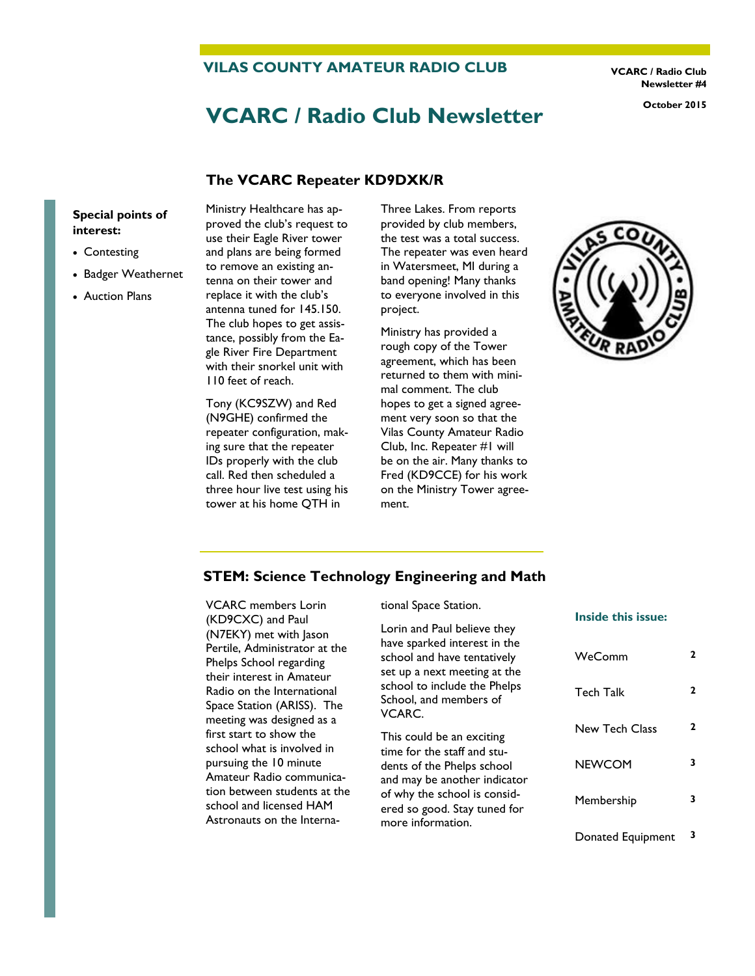**VILAS COUNTY AMATEUR RADIO CLUB**

**VCARC / Radio Club Newsletter #4**

# **VCARC / Radio Club Newsletter October 2015**

#### **The VCARC Repeater KD9DXK/R**

#### **Special points of interest:**

- Contesting
- Badger Weathernet
- Auction Plans

Ministry Healthcare has approved the club's request to use their Eagle River tower and plans are being formed to remove an existing antenna on their tower and replace it with the club's antenna tuned for 145.150. The club hopes to get assistance, possibly from the Eagle River Fire Department with their snorkel unit with 110 feet of reach.

Tony (KC9SZW) and Red (N9GHE) confirmed the repeater configuration, making sure that the repeater IDs properly with the club call. Red then scheduled a three hour live test using his tower at his home QTH in

Three Lakes. From reports provided by club members, the test was a total success. The repeater was even heard in Watersmeet, MI during a band opening! Many thanks to everyone involved in this project.

Ministry has provided a rough copy of the Tower agreement, which has been returned to them with minimal comment. The club hopes to get a signed agreement very soon so that the Vilas County Amateur Radio Club, Inc. Repeater #1 will be on the air. Many thanks to Fred (KD9CCE) for his work on the Ministry Tower agreement.



#### **STEM: Science Technology Engineering and Math**

VCARC members Lorin (KD9CXC) and Paul (N7EKY) met with Jason Pertile, Administrator at the Phelps School regarding their interest in Amateur Radio on the International Space Station (ARISS). The meeting was designed as a first start to show the school what is involved in pursuing the 10 minute Amateur Radio communication between students at the school and licensed HAM Astronauts on the International Space Station.

Lorin and Paul believe they have sparked interest in the school and have tentatively set up a next meeting at the school to include the Phelps School, and members of VCARC.

This could be an exciting time for the staff and students of the Phelps school and may be another indicator of why the school is considered so good. Stay tuned for more information.

#### **Inside this issue:**

| WeComm            | 2 |
|-------------------|---|
| Tech Talk         | 2 |
| New Tech Class    | 2 |
| NEWCOM            | 3 |
| Membership        | 3 |
| Donated Equipment |   |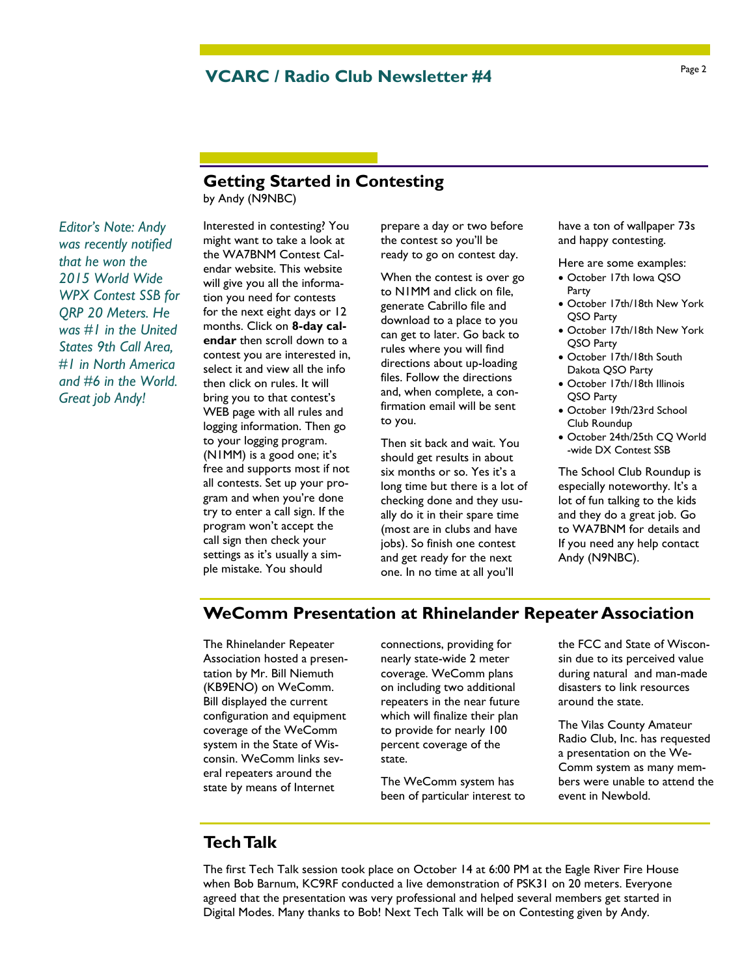#### **VCARC / Radio Club Newsletter #4**

## **Getting Started in Contesting**

by Andy (N9NBC)

*Editor's Note: Andy was recently notified that he won the 2015 World Wide WPX Contest SSB for QRP 20 Meters. He was #1 in the United States 9th Call Area, #1 in North America and #6 in the World. Great job Andy!*

Interested in contesting? You might want to take a look at the WA7BNM Contest Calendar website. This website will give you all the information you need for contests for the next eight days or 12 months. Click on **8-day calendar** then scroll down to a contest you are interested in, select it and view all the info then click on rules. It will bring you to that contest's WEB page with all rules and logging information. Then go to your logging program. (N1MM) is a good one; it's free and supports most if not all contests. Set up your program and when you're done try to enter a call sign. If the program won't accept the call sign then check your settings as it's usually a simple mistake. You should

prepare a day or two before the contest so you'll be ready to go on contest day.

When the contest is over go to N1MM and click on file, generate Cabrillo file and download to a place to you can get to later. Go back to rules where you will find directions about up-loading files. Follow the directions and, when complete, a confirmation email will be sent to you.

Then sit back and wait. You should get results in about six months or so. Yes it's a long time but there is a lot of checking done and they usually do it in their spare time (most are in clubs and have jobs). So finish one contest and get ready for the next one. In no time at all you'll

have a ton of wallpaper 73s and happy contesting.

- Here are some examples:
- October 17th Iowa QSO Party
- October 17th/18th New York QSO Party
- October 17th/18th New York QSO Party
- October 17th/18th South Dakota QSO Party
- October 17th/18th Illinois QSO Party
- October 19th/23rd School Club Roundup
- October 24th/25th CQ World -wide DX Contest SSB

The School Club Roundup is especially noteworthy. It's a lot of fun talking to the kids and they do a great job. Go to WA7BNM for details and If you need any help contact Andy (N9NBC).

### **WeComm Presentation at Rhinelander Repeater Association**

The Rhinelander Repeater Association hosted a presentation by Mr. Bill Niemuth (KB9ENO) on WeComm. Bill displayed the current configuration and equipment coverage of the WeComm system in the State of Wisconsin. WeComm links several repeaters around the state by means of Internet

connections, providing for nearly state-wide 2 meter coverage. WeComm plans on including two additional repeaters in the near future which will finalize their plan to provide for nearly 100 percent coverage of the state.

The WeComm system has been of particular interest to the FCC and State of Wisconsin due to its perceived value during natural and man-made disasters to link resources around the state.

The Vilas County Amateur Radio Club, Inc. has requested a presentation on the We-Comm system as many members were unable to attend the event in Newbold.

#### **Tech Talk**

The first Tech Talk session took place on October 14 at 6:00 PM at the Eagle River Fire House when Bob Barnum, KC9RF conducted a live demonstration of PSK31 on 20 meters. Everyone agreed that the presentation was very professional and helped several members get started in Digital Modes. Many thanks to Bob! Next Tech Talk will be on Contesting given by Andy.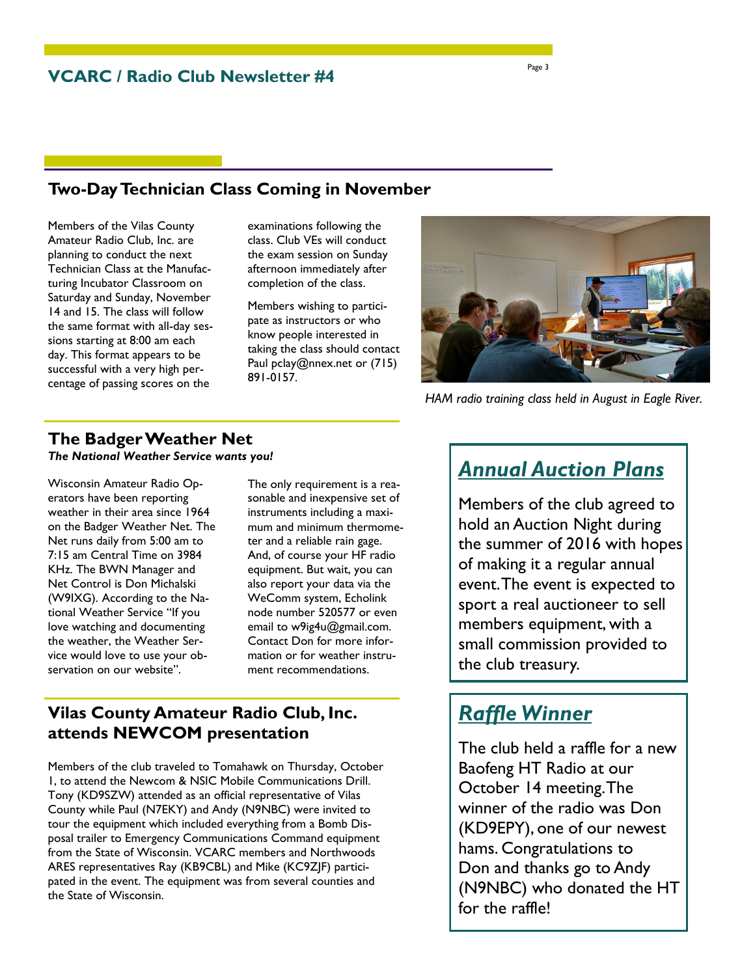## **Two-Day Technician Class Coming in November**

Members of the Vilas County Amateur Radio Club, Inc. are planning to conduct the next Technician Class at the Manufacturing Incubator Classroom on Saturday and Sunday, November 14 and 15. The class will follow the same format with all-day sessions starting at 8:00 am each day. This format appears to be successful with a very high percentage of passing scores on the

examinations following the class. Club VEs will conduct the exam session on Sunday afternoon immediately after completion of the class.

Members wishing to participate as instructors or who know people interested in taking the class should contact Paul pclay@nnex.net or (715) 891-0157.



*HAM radio training class held in August in Eagle River.*

#### **The Badger Weather Net**

*The National Weather Service wants you!* 

Wisconsin Amateur Radio Operators have been reporting weather in their area since 1964 on the Badger Weather Net. The Net runs daily from 5:00 am to 7:15 am Central Time on 3984 KHz. The BWN Manager and Net Control is Don Michalski (W9IXG). According to the National Weather Service "If you love watching and documenting the weather, the Weather Service would love to use your observation on our website".

The only requirement is a reasonable and inexpensive set of instruments including a maximum and minimum thermometer and a reliable rain gage. And, of course your HF radio equipment. But wait, you can also report your data via the WeComm system, Echolink node number 520577 or even email to w9ig4u@gmail.com. Contact Don for more information or for weather instrument recommendations.

#### **Vilas County Amateur Radio Club, Inc. attends NEWCOM presentation**

Members of the club traveled to Tomahawk on Thursday, October 1, to attend the Newcom & NSIC Mobile Communications Drill. Tony (KD9SZW) attended as an official representative of Vilas County while Paul (N7EKY) and Andy (N9NBC) were invited to tour the equipment which included everything from a Bomb Disposal trailer to Emergency Communications Command equipment from the State of Wisconsin. VCARC members and Northwoods ARES representatives Ray (KB9CBL) and Mike (KC9ZJF) participated in the event. The equipment was from several counties and the State of Wisconsin.

## *Annual Auction Plans*

Members of the club agreed to hold an Auction Night during the summer of 2016 with hopes of making it a regular annual event. The event is expected to sport a real auctioneer to sell members equipment, with a small commission provided to the club treasury.

## *Raffle Winner*

The club held a raffle for a new Baofeng HT Radio at our October 14 meeting. The winner of the radio was Don (KD9EPY), one of our newest hams. Congratulations to Don and thanks go to Andy (N9NBC) who donated the HT for the raffle!